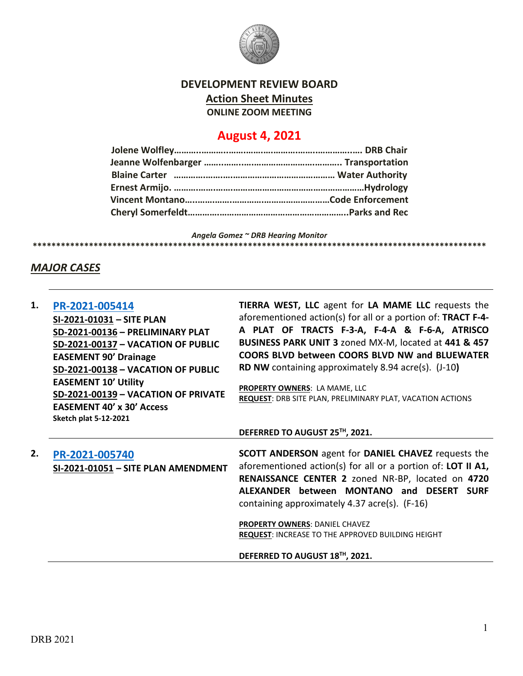

# **DEVELOPMENT REVIEW BOARD Action Sheet Minutes ONLINE ZOOM MEETING**

# **August 4, 2021**

*Angela Gomez ~ DRB Hearing Monitor* **\*\*\*\*\*\*\*\*\*\*\*\*\*\*\*\*\*\*\*\*\*\*\*\*\*\*\*\*\*\*\*\*\*\*\*\*\*\*\*\*\*\*\*\*\*\*\*\*\*\*\*\*\*\*\*\*\*\*\*\*\*\*\*\*\*\*\*\*\*\*\*\*\*\*\*\*\*\*\*\*\*\*\*\*\*\*\*\*\*\*\*\*\*\*\*\*\***

## *MAJOR CASES*

| 1. | PR-2021-005414<br>SI-2021-01031 - SITE PLAN<br>SD-2021-00136 - PRELIMINARY PLAT<br>SD-2021-00137 - VACATION OF PUBLIC<br><b>EASEMENT 90' Drainage</b><br>SD-2021-00138 - VACATION OF PUBLIC<br><b>EASEMENT 10' Utility</b><br>SD-2021-00139 - VACATION OF PRIVATE<br><b>EASEMENT 40' x 30' Access</b><br><b>Sketch plat 5-12-2021</b> | TIERRA WEST, LLC agent for LA MAME LLC requests the<br>aforementioned action(s) for all or a portion of: TRACT F-4-<br>A PLAT OF TRACTS F-3-A, F-4-A & F-6-A, ATRISCO<br>BUSINESS PARK UNIT 3 zoned MX-M, located at 441 & 457<br>COORS BLVD between COORS BLVD NW and BLUEWATER<br><b>RD NW</b> containing approximately 8.94 acre(s). (J-10)<br>PROPERTY OWNERS: LA MAME, LLC<br>REQUEST: DRB SITE PLAN, PRELIMINARY PLAT, VACATION ACTIONS |
|----|---------------------------------------------------------------------------------------------------------------------------------------------------------------------------------------------------------------------------------------------------------------------------------------------------------------------------------------|-----------------------------------------------------------------------------------------------------------------------------------------------------------------------------------------------------------------------------------------------------------------------------------------------------------------------------------------------------------------------------------------------------------------------------------------------|
|    |                                                                                                                                                                                                                                                                                                                                       | DEFERRED TO AUGUST 25TH, 2021.                                                                                                                                                                                                                                                                                                                                                                                                                |
| 2. | PR-2021-005740<br>SI-2021-01051 - SITE PLAN AMENDMENT                                                                                                                                                                                                                                                                                 | <b>SCOTT ANDERSON</b> agent for <b>DANIEL CHAVEZ</b> requests the<br>aforementioned action(s) for all or a portion of: LOT II A1,<br>RENAISSANCE CENTER 2 zoned NR-BP, located on 4720<br>ALEXANDER between MONTANO and DESERT SURF<br>containing approximately 4.37 acre(s). (F-16)                                                                                                                                                          |
|    |                                                                                                                                                                                                                                                                                                                                       | PROPERTY OWNERS: DANIEL CHAVEZ<br><b>REQUEST: INCREASE TO THE APPROVED BUILDING HEIGHT</b>                                                                                                                                                                                                                                                                                                                                                    |
|    |                                                                                                                                                                                                                                                                                                                                       | DEFERRED TO AUGUST 18TH, 2021.                                                                                                                                                                                                                                                                                                                                                                                                                |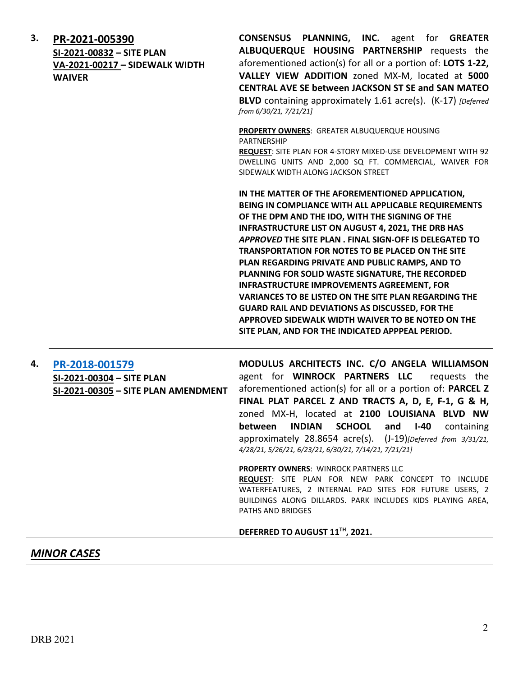| 3. | PR-2021-005390<br>SI-2021-00832 - SITE PLAN<br>VA-2021-00217 - SIDEWALK WIDTH<br><b>WAIVER</b> | <b>CONSENSUS PLANNING, INC.</b> agent for <b>GREATER</b><br>ALBUQUERQUE HOUSING PARTNERSHIP requests the<br>aforementioned action(s) for all or a portion of: LOTS 1-22,<br>VALLEY VIEW ADDITION zoned MX-M, located at 5000<br><b>CENTRAL AVE SE between JACKSON ST SE and SAN MATEO</b><br>BLVD containing approximately 1.61 acre(s). (K-17) [Deferred<br>from 6/30/21, 7/21/21]                                                                                                                                                                                                                                                                                                       |
|----|------------------------------------------------------------------------------------------------|-------------------------------------------------------------------------------------------------------------------------------------------------------------------------------------------------------------------------------------------------------------------------------------------------------------------------------------------------------------------------------------------------------------------------------------------------------------------------------------------------------------------------------------------------------------------------------------------------------------------------------------------------------------------------------------------|
|    |                                                                                                | <b>PROPERTY OWNERS: GREATER ALBUQUERQUE HOUSING</b><br><b>PARTNERSHIP</b><br><b>REQUEST:</b> SITE PLAN FOR 4-STORY MIXED-USE DEVELOPMENT WITH 92<br>DWELLING UNITS AND 2,000 SQ FT. COMMERCIAL, WAIVER FOR<br>SIDEWALK WIDTH ALONG JACKSON STREET                                                                                                                                                                                                                                                                                                                                                                                                                                         |
|    |                                                                                                | IN THE MATTER OF THE AFOREMENTIONED APPLICATION,<br>BEING IN COMPLIANCE WITH ALL APPLICABLE REQUIREMENTS<br>OF THE DPM AND THE IDO, WITH THE SIGNING OF THE<br><b>INFRASTRUCTURE LIST ON AUGUST 4, 2021, THE DRB HAS</b><br>APPROVED THE SITE PLAN. FINAL SIGN-OFF IS DELEGATED TO<br><b>TRANSPORTATION FOR NOTES TO BE PLACED ON THE SITE</b><br>PLAN REGARDING PRIVATE AND PUBLIC RAMPS, AND TO<br>PLANNING FOR SOLID WASTE SIGNATURE, THE RECORDED<br><b>INFRASTRUCTURE IMPROVEMENTS AGREEMENT, FOR</b><br><b>VARIANCES TO BE LISTED ON THE SITE PLAN REGARDING THE</b><br><b>GUARD RAIL AND DEVIATIONS AS DISCUSSED, FOR THE</b><br>APPROVED SIDEWALK WIDTH WAIVER TO BE NOTED ON THE |

# **4. [PR-2018-001579](http://data.cabq.gov/government/planning/DRB/PR-2018-001579/DRB%20Submittals/PR-2018-001579_Mar_31_2021%20(SITE%20P.,%20SITE%20P.%20AMEND.,%20SKETCH%20PLAT%20%7bPark%7d)/) SI-2021-00304 – SITE PLAN SI-2021-00305 – SITE PLAN AMENDMENT**

**MODULUS ARCHITECTS INC. C/O ANGELA WILLIAMSON**  agent for **WINROCK PARTNERS LLC** requests the aforementioned action(s) for all or a portion of: **PARCEL Z FINAL PLAT PARCEL Z AND TRACTS A, D, E, F-1, G & H,**  zoned MX-H, located at **2100 LOUISIANA BLVD NW between INDIAN SCHOOL and I-40** containing approximately 28.8654 acre(s). (J-19)*[Deferred from 3/31/21, 4/28/21, 5/26/21, 6/23/21, 6/30/21, 7/14/21, 7/21/21]*

**SITE PLAN, AND FOR THE INDICATED APPPEAL PERIOD.**

#### **PROPERTY OWNERS: WINROCK PARTNERS LLC**

**REQUEST**: SITE PLAN FOR NEW PARK CONCEPT TO INCLUDE WATERFEATURES, 2 INTERNAL PAD SITES FOR FUTURE USERS, 2 BUILDINGS ALONG DILLARDS. PARK INCLUDES KIDS PLAYING AREA, PATHS AND BRIDGES

#### **DEFERRED TO AUGUST 11TH, 2021.**

### *MINOR CASES*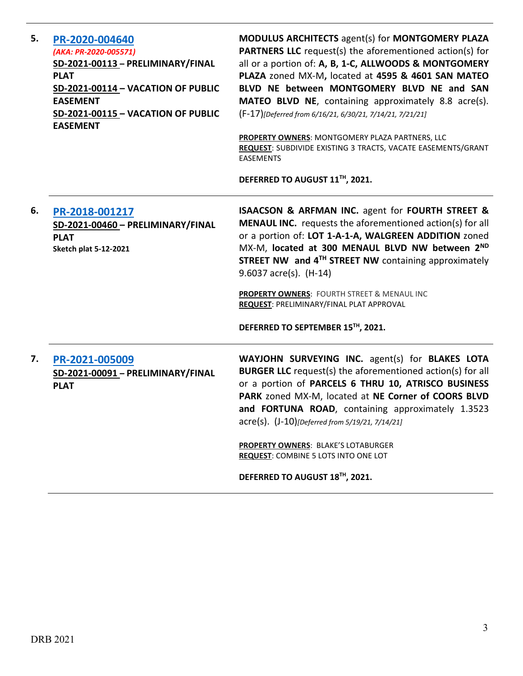| 5. | PR-2020-004640<br>(AKA: PR-2020-005571)<br>SD-2021-00113 - PRELIMINARY/FINAL<br><b>PLAT</b><br>SD-2021-00114 - VACATION OF PUBLIC<br><b>EASEMENT</b><br>SD-2021-00115 - VACATION OF PUBLIC<br><b>EASEMENT</b> | <b>MODULUS ARCHITECTS agent(s) for MONTGOMERY PLAZA</b><br><b>PARTNERS LLC</b> request(s) the aforementioned action(s) for<br>all or a portion of: A, B, 1-C, ALLWOODS & MONTGOMERY<br>PLAZA zoned MX-M, located at 4595 & 4601 SAN MATEO<br>BLVD NE between MONTGOMERY BLVD NE and SAN<br>MATEO BLVD NE, containing approximately 8.8 acre(s).<br>(F-17)[Deferred from 6/16/21, 6/30/21, 7/14/21, 7/21/21]<br>PROPERTY OWNERS: MONTGOMERY PLAZA PARTNERS, LLC<br>REQUEST: SUBDIVIDE EXISTING 3 TRACTS, VACATE EASEMENTS/GRANT<br><b>EASEMENTS</b><br>DEFERRED TO AUGUST 11TH, 2021. |
|----|---------------------------------------------------------------------------------------------------------------------------------------------------------------------------------------------------------------|--------------------------------------------------------------------------------------------------------------------------------------------------------------------------------------------------------------------------------------------------------------------------------------------------------------------------------------------------------------------------------------------------------------------------------------------------------------------------------------------------------------------------------------------------------------------------------------|
| 6. | PR-2018-001217<br>SD-2021-00460 - PRELIMINARY/FINAL<br><b>PLAT</b><br><b>Sketch plat 5-12-2021</b>                                                                                                            | <b>ISAACSON &amp; ARFMAN INC. agent for FOURTH STREET &amp;</b><br><b>MENAUL INC.</b> requests the aforementioned action(s) for all<br>or a portion of: LOT 1-A-1-A, WALGREEN ADDITION zoned<br>MX-M, located at 300 MENAUL BLVD NW between 2ND<br>STREET NW and 4 <sup>TH</sup> STREET NW containing approximately<br>9.6037 acre(s). (H-14)<br>PROPERTY OWNERS: FOURTH STREET & MENAUL INC<br>REQUEST: PRELIMINARY/FINAL PLAT APPROVAL<br>DEFERRED TO SEPTEMBER 15TH, 2021.                                                                                                        |
| 7. | PR-2021-005009<br>SD-2021-00091 - PRELIMINARY/FINAL<br><b>PLAT</b>                                                                                                                                            | WAYJOHN SURVEYING INC. agent(s) for BLAKES LOTA<br><b>BURGER LLC</b> request(s) the aforementioned action(s) for all<br>or a portion of PARCELS 6 THRU 10, ATRISCO BUSINESS<br>PARK zoned MX-M, located at NE Corner of COORS BLVD<br>and FORTUNA ROAD, containing approximately 1.3523<br>acre(s). (J-10)[Deferred from 5/19/21, 7/14/21]<br><b>PROPERTY OWNERS: BLAKE'S LOTABURGER</b><br>REQUEST: COMBINE 5 LOTS INTO ONE LOT<br>DEFERRED TO AUGUST 18TH, 2021.                                                                                                                   |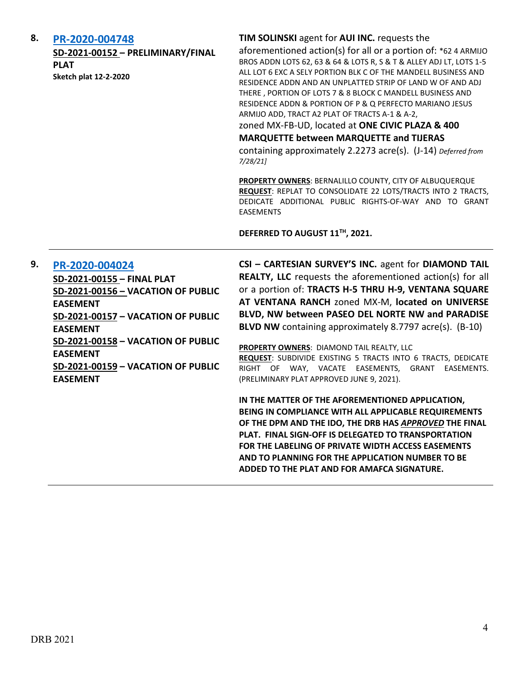### **8. [PR-2020-004748](http://data.cabq.gov/government/planning/DRB/PR-2020-004748/DRB%20Submittals/PR-2020-004748_JULY_28_2021%20(P&F)/Application/)**

**SD-2021-00152 – PRELIMINARY/FINAL PLAT Sketch plat 12-2-2020**

#### **TIM SOLINSKI** agent for **AUI INC.** requests the

aforementioned action(s) for all or a portion of: \*62 4 ARMIJO BROS ADDN LOTS 62, 63 & 64 & LOTS R, S & T & ALLEY ADJ LT, LOTS 1-5 ALL LOT 6 EXC A SELY PORTION BLK C OF THE MANDELL BUSINESS AND RESIDENCE ADDN AND AN UNPLATTED STRIP OF LAND W OF AND ADJ THERE , PORTION OF LOTS 7 & 8 BLOCK C MANDELL BUSINESS AND RESIDENCE ADDN & PORTION OF P & Q PERFECTO MARIANO JESUS ARMIJO ADD, TRACT A2 PLAT OF TRACTS A-1 & A-2,

zoned MX-FB-UD, located at **ONE CIVIC PLAZA & 400** 

#### **MARQUETTE between MARQUETTE and TIJERAS**

containing approximately 2.2273 acre(s). (J-14) *Deferred from 7/28/21]*

**PROPERTY OWNERS**: BERNALILLO COUNTY, CITY OF ALBUQUERQUE **REQUEST**: REPLAT TO CONSOLIDATE 22 LOTS/TRACTS INTO 2 TRACTS, DEDICATE ADDITIONAL PUBLIC RIGHTS-OF-WAY AND TO GRANT EASEMENTS

**DEFERRED TO AUGUST 11TH, 2021.**

### **9. [PR-2020-004024](http://data.cabq.gov/government/planning/DRB/PR-2020-004024/DRB%20Submittals/PR-2020-004024_Aug_4_2021/PR-2020-004024%20Final%20Plat%20Submittal.pdf)**

**SD-2021-00155 – FINAL PLAT SD-2021-00156 – VACATION OF PUBLIC EASEMENT SD-2021-00157 – VACATION OF PUBLIC EASEMENT SD-2021-00158 – VACATION OF PUBLIC EASEMENT SD-2021-00159 – VACATION OF PUBLIC EASEMENT**

**CSI – CARTESIAN SURVEY'S INC.** agent for **DIAMOND TAIL REALTY, LLC** requests the aforementioned action(s) for all or a portion of: **TRACTS H-5 THRU H-9, VENTANA SQUARE AT VENTANA RANCH** zoned MX-M, **located on UNIVERSE BLVD, NW between PASEO DEL NORTE NW and PARADISE BLVD NW** containing approximately 8.7797 acre(s). (B-10)

**PROPERTY OWNERS**: DIAMOND TAIL REALTY, LLC **REQUEST**: SUBDIVIDE EXISTING 5 TRACTS INTO 6 TRACTS, DEDICATE RIGHT OF WAY, VACATE EASEMENTS, GRANT EASEMENTS. (PRELIMINARY PLAT APPROVED JUNE 9, 2021).

**IN THE MATTER OF THE AFOREMENTIONED APPLICATION, BEING IN COMPLIANCE WITH ALL APPLICABLE REQUIREMENTS OF THE DPM AND THE IDO, THE DRB HAS** *APPROVED* **THE FINAL PLAT. FINAL SIGN-OFF IS DELEGATED TO TRANSPORTATION FOR THE LABELING OF PRIVATE WIDTH ACCESS EASEMENTS AND TO PLANNING FOR THE APPLICATION NUMBER TO BE ADDED TO THE PLAT AND FOR AMAFCA SIGNATURE.**